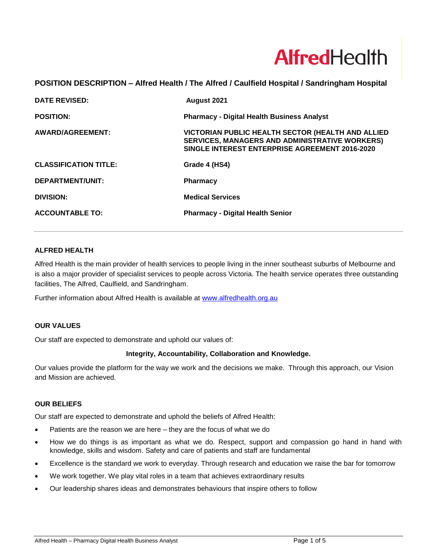# **Alfred**Health

# **POSITION DESCRIPTION – Alfred Health / The Alfred / Caulfield Hospital / Sandringham Hospital**

| <b>DATE REVISED:</b>         | August 2021                                                                                                                                                  |
|------------------------------|--------------------------------------------------------------------------------------------------------------------------------------------------------------|
| <b>POSITION:</b>             | <b>Pharmacy - Digital Health Business Analyst</b>                                                                                                            |
| AWARD/AGREEMENT:             | VICTORIAN PUBLIC HEALTH SECTOR (HEALTH AND ALLIED<br><b>SERVICES, MANAGERS AND ADMINISTRATIVE WORKERS)</b><br>SINGLE INTEREST ENTERPRISE AGREEMENT 2016-2020 |
| <b>CLASSIFICATION TITLE:</b> | Grade 4 (HS4)                                                                                                                                                |
| DEPARTMENT/UNIT:             | <b>Pharmacy</b>                                                                                                                                              |
| <b>DIVISION:</b>             | <b>Medical Services</b>                                                                                                                                      |
| <b>ACCOUNTABLE TO:</b>       | <b>Pharmacy - Digital Health Senior</b>                                                                                                                      |

#### **ALFRED HEALTH**

Alfred Health is the main provider of health services to people living in the inner southeast suburbs of Melbourne and is also a major provider of specialist services to people across Victoria. The health service operates three outstanding facilities, The Alfred, Caulfield, and Sandringham.

Further information about Alfred Health is available at [www.alfredhealth.org.au](http://www.alfred.org.au/)

#### **OUR VALUES**

Our staff are expected to demonstrate and uphold our values of:

#### **Integrity, Accountability, Collaboration and Knowledge.**

Our values provide the platform for the way we work and the decisions we make. Through this approach, our Vision and Mission are achieved.

#### **OUR BELIEFS**

Our staff are expected to demonstrate and uphold the beliefs of Alfred Health:

- Patients are the reason we are here they are the focus of what we do
- How we do things is as important as what we do. Respect, support and compassion go hand in hand with knowledge, skills and wisdom. Safety and care of patients and staff are fundamental
- Excellence is the standard we work to everyday. Through research and education we raise the bar for tomorrow
- We work together. We play vital roles in a team that achieves extraordinary results
- Our leadership shares ideas and demonstrates behaviours that inspire others to follow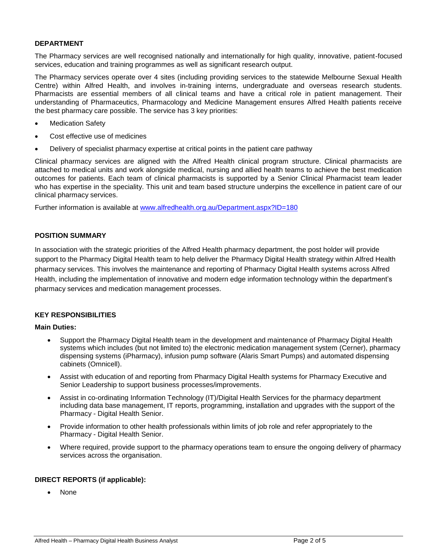#### **DEPARTMENT**

The Pharmacy services are well recognised nationally and internationally for high quality, innovative, patient-focused services, education and training programmes as well as significant research output.

The Pharmacy services operate over 4 sites (including providing services to the statewide Melbourne Sexual Health Centre) within Alfred Health, and involves in-training interns, undergraduate and overseas research students. Pharmacists are essential members of all clinical teams and have a critical role in patient management. Their understanding of Pharmaceutics, Pharmacology and Medicine Management ensures Alfred Health patients receive the best pharmacy care possible. The service has 3 key priorities:

- **Medication Safety**
- Cost effective use of medicines
- Delivery of specialist pharmacy expertise at critical points in the patient care pathway

Clinical pharmacy services are aligned with the Alfred Health clinical program structure. Clinical pharmacists are attached to medical units and work alongside medical, nursing and allied health teams to achieve the best medication outcomes for patients. Each team of clinical pharmacists is supported by a Senior Clinical Pharmacist team leader who has expertise in the speciality. This unit and team based structure underpins the excellence in patient care of our clinical pharmacy services.

Further information is available at [www.alfredhealth.org.au/Department.aspx?ID=180](http://www.alfredhealth.org.au/Department.aspx?ID=180)

#### **POSITION SUMMARY**

In association with the strategic priorities of the Alfred Health pharmacy department, the post holder will provide support to the Pharmacy Digital Health team to help deliver the Pharmacy Digital Health strategy within Alfred Health pharmacy services. This involves the maintenance and reporting of Pharmacy Digital Health systems across Alfred Health, including the implementation of innovative and modern edge information technology within the department's pharmacy services and medication management processes.

#### **KEY RESPONSIBILITIES**

#### **Main Duties:**

- Support the Pharmacy Digital Health team in the development and maintenance of Pharmacy Digital Health systems which includes (but not limited to) the electronic medication management system (Cerner), pharmacy dispensing systems (iPharmacy), infusion pump software (Alaris Smart Pumps) and automated dispensing cabinets (Omnicell).
- Assist with education of and reporting from Pharmacy Digital Health systems for Pharmacy Executive and Senior Leadership to support business processes/improvements.
- Assist in co-ordinating Information Technology (IT)/Digital Health Services for the pharmacy department including data base management, IT reports, programming, installation and upgrades with the support of the Pharmacy - Digital Health Senior.
- Provide information to other health professionals within limits of job role and refer appropriately to the Pharmacy - Digital Health Senior.
- Where required, provide support to the pharmacy operations team to ensure the ongoing delivery of pharmacy services across the organisation.

#### **DIRECT REPORTS (if applicable):**

• None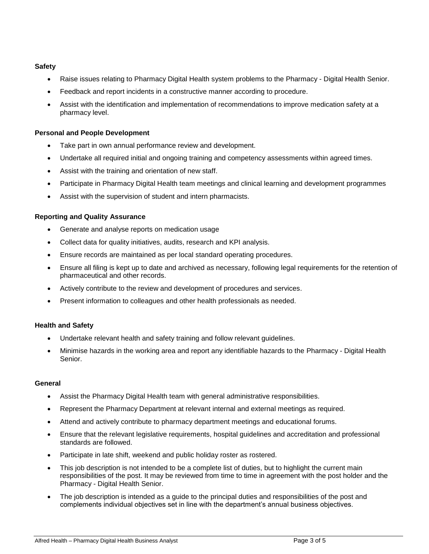# **Safety**

- Raise issues relating to Pharmacy Digital Health system problems to the Pharmacy Digital Health Senior.
- Feedback and report incidents in a constructive manner according to procedure.
- Assist with the identification and implementation of recommendations to improve medication safety at a pharmacy level.

# **Personal and People Development**

- Take part in own annual performance review and development.
- Undertake all required initial and ongoing training and competency assessments within agreed times.
- Assist with the training and orientation of new staff.
- Participate in Pharmacy Digital Health team meetings and clinical learning and development programmes
- Assist with the supervision of student and intern pharmacists.

#### **Reporting and Quality Assurance**

- Generate and analyse reports on medication usage
- Collect data for quality initiatives, audits, research and KPI analysis.
- Ensure records are maintained as per local standard operating procedures.
- Ensure all filing is kept up to date and archived as necessary, following legal requirements for the retention of pharmaceutical and other records.
- Actively contribute to the review and development of procedures and services.
- Present information to colleagues and other health professionals as needed.

#### **Health and Safety**

- Undertake relevant health and safety training and follow relevant guidelines.
- Minimise hazards in the working area and report any identifiable hazards to the Pharmacy Digital Health Senior.

#### **General**

- Assist the Pharmacy Digital Health team with general administrative responsibilities.
- Represent the Pharmacy Department at relevant internal and external meetings as required.
- Attend and actively contribute to pharmacy department meetings and educational forums.
- Ensure that the relevant legislative requirements, hospital guidelines and accreditation and professional standards are followed.
- Participate in late shift, weekend and public holiday roster as rostered.
- This job description is not intended to be a complete list of duties, but to highlight the current main responsibilities of the post. It may be reviewed from time to time in agreement with the post holder and the Pharmacy - Digital Health Senior.
- The job description is intended as a quide to the principal duties and responsibilities of the post and complements individual objectives set in line with the department's annual business objectives.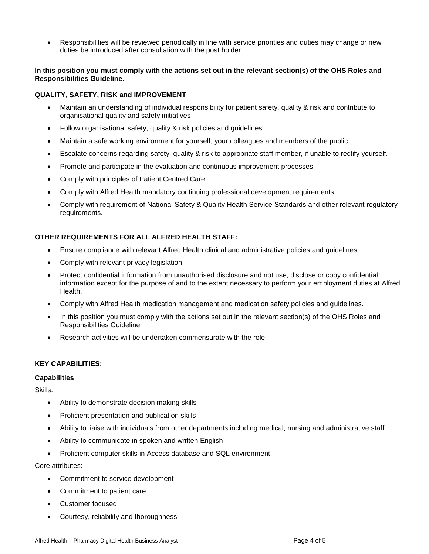• Responsibilities will be reviewed periodically in line with service priorities and duties may change or new duties be introduced after consultation with the post holder.

#### **In this position you must comply with the actions set out in the relevant section(s) of the OHS Roles and Responsibilities Guideline.**

#### **QUALITY, SAFETY, RISK and IMPROVEMENT**

- Maintain an understanding of individual responsibility for patient safety, quality & risk and contribute to organisational quality and safety initiatives
- Follow organisational safety, quality & risk policies and guidelines
- Maintain a safe working environment for yourself, your colleagues and members of the public.
- Escalate concerns regarding safety, quality & risk to appropriate staff member, if unable to rectify yourself.
- Promote and participate in the evaluation and continuous improvement processes.
- Comply with principles of Patient Centred Care.
- Comply with Alfred Health mandatory continuing professional development requirements.
- Comply with requirement of National Safety & Quality Health Service Standards and other relevant regulatory requirements.

# **OTHER REQUIREMENTS FOR ALL ALFRED HEALTH STAFF:**

- Ensure compliance with relevant Alfred Health clinical and administrative policies and guidelines.
- Comply with relevant privacy legislation.
- Protect confidential information from unauthorised disclosure and not use, disclose or copy confidential information except for the purpose of and to the extent necessary to perform your employment duties at Alfred Health.
- Comply with Alfred Health medication management and medication safety policies and guidelines.
- In this position you must comply with the actions set out in the relevant section(s) of the OHS Roles and Responsibilities Guideline.
- Research activities will be undertaken commensurate with the role

#### **KEY CAPABILITIES:**

#### **Capabilities**

Skills:

- Ability to demonstrate decision making skills
- Proficient presentation and publication skills
- Ability to liaise with individuals from other departments including medical, nursing and administrative staff
- Ability to communicate in spoken and written English
- Proficient computer skills in Access database and SQL environment

Core attributes:

- Commitment to service development
- Commitment to patient care
- Customer focused
- Courtesy, reliability and thoroughness